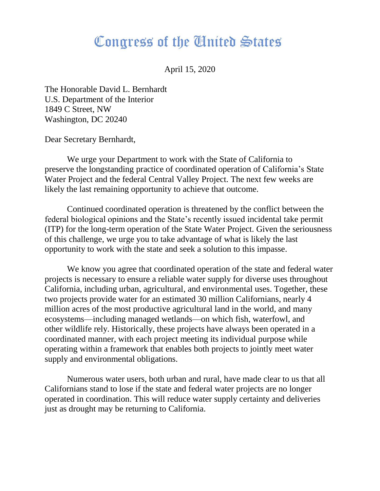## Congress of the Cinited States

April 15, 2020

The Honorable David L. Bernhardt U.S. Department of the Interior 1849 C Street, NW Washington, DC 20240

Dear Secretary Bernhardt,

We urge your Department to work with the State of California to preserve the longstanding practice of coordinated operation of California's State Water Project and the federal Central Valley Project. The next few weeks are likely the last remaining opportunity to achieve that outcome.

Continued coordinated operation is threatened by the conflict between the federal biological opinions and the State's recently issued incidental take permit (ITP) for the long-term operation of the State Water Project. Given the seriousness of this challenge, we urge you to take advantage of what is likely the last opportunity to work with the state and seek a solution to this impasse.

We know you agree that coordinated operation of the state and federal water projects is necessary to ensure a reliable water supply for diverse uses throughout California, including urban, agricultural, and environmental uses. Together, these two projects provide water for an estimated 30 million Californians, nearly 4 million acres of the most productive agricultural land in the world, and many ecosystems—including managed wetlands—on which fish, waterfowl, and other wildlife rely. Historically, these projects have always been operated in a coordinated manner, with each project meeting its individual purpose while operating within a framework that enables both projects to jointly meet water supply and environmental obligations.

Numerous water users, both urban and rural, have made clear to us that all Californians stand to lose if the state and federal water projects are no longer operated in coordination. This will reduce water supply certainty and deliveries just as drought may be returning to California.